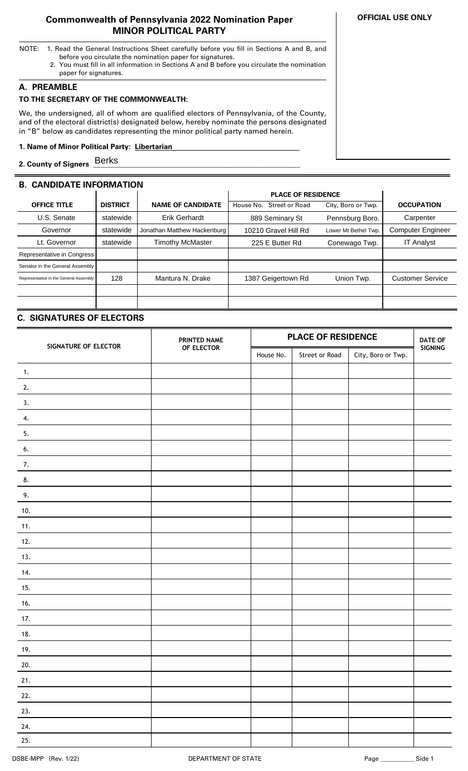## **Commonwealth of Pennsylvania 2022 Nomination Paper MINOR POLITICAL PARTY**

- NOTE: 1. Read the General Instructions Sheet carefully before you fill in Sections A and B, and before you circulate the nomination paper for signatures.
	- 2. You must fill in all information in Sections A and B before you circulate the nomination paper for signatures.

## **A. PREAMBLE**

## **TO THE SECRETARY OF THE COMMONWEALTH:**

We, the undersigned, all of whom are qualified electors of Pennsylvania, of the County, and of the electoral district(s) designated below, hereby nominate the persons designated in "B" below as candidates representing the minor political party named herein.

## **1. Name of Minor Political Party: Libertarian ..**

**2. County of Signers \_\_\_\_\_\_\_\_\_\_\_\_\_\_\_\_\_\_\_\_\_\_\_\_\_\_\_\_\_\_\_\_\_\_\_\_\_\_\_\_\_\_\_\_\_\_\_\_\_\_\_\_\_\_\_\_\_** Berks

# **B. CANDIDATE INFORMATION**

|                                        |                 |                             | <b>PLACE OF RESIDENCE</b>          |                      |                          |
|----------------------------------------|-----------------|-----------------------------|------------------------------------|----------------------|--------------------------|
| <b>OFFICE TITLE</b>                    | <b>DISTRICT</b> | <b>NAME OF CANDIDATE</b>    | <b>Street or Road</b><br>House No. | City, Boro or Twp.   | <b>OCCUPATION</b>        |
| U.S. Senate                            | statewide       | <b>Erik Gerhardt</b>        | 889 Seminary St                    | Pennsburg Boro.      | Carpenter                |
| Governor                               | statewide       | Jonathan Matthew Hackenburg | 10210 Gravel Hill Rd               | Lower Mt Bethel Twp. | <b>Computer Engineer</b> |
| Lt. Governor                           | statewide       | Timothy McMaster            | 225 E Butter Rd                    | Conewago Twp.        | <b>IT Analyst</b>        |
| Representative in Congress             |                 |                             |                                    |                      |                          |
| Senator in the General Assembly        |                 |                             |                                    |                      |                          |
| Representative in the General Assembly | 128             | Mantura N. Drake            | 1387 Geigertown Rd                 | Union Twp.           | <b>Customer Service</b>  |
|                                        |                 |                             |                                    |                      |                          |
|                                        |                 |                             |                                    |                      |                          |

# **C. SIGNATURES OF ELECTORS**

| SIGNATURE OF ELECTOR | PRINTED NAME | <b>PLACE OF RESIDENCE</b> |                |                    | <b>DATE OF</b> |
|----------------------|--------------|---------------------------|----------------|--------------------|----------------|
|                      | OF ELECTOR   | House No.                 | Street or Road | City, Boro or Twp. | SIGNING        |
| $\mathbf{1}$ .       |              |                           |                |                    |                |
| 2.                   |              |                           |                |                    |                |
| 3.                   |              |                           |                |                    |                |
| 4.                   |              |                           |                |                    |                |
| 5.                   |              |                           |                |                    |                |
| 6.                   |              |                           |                |                    |                |
| 7.                   |              |                           |                |                    |                |
| 8.                   |              |                           |                |                    |                |
| 9.                   |              |                           |                |                    |                |
| 10.                  |              |                           |                |                    |                |
| 11.                  |              |                           |                |                    |                |
| 12.                  |              |                           |                |                    |                |
| 13.                  |              |                           |                |                    |                |
| 14.                  |              |                           |                |                    |                |
| 15.                  |              |                           |                |                    |                |
| 16.                  |              |                           |                |                    |                |
| 17.                  |              |                           |                |                    |                |
| 18.                  |              |                           |                |                    |                |
| 19.                  |              |                           |                |                    |                |
| 20.                  |              |                           |                |                    |                |
| 21.                  |              |                           |                |                    |                |
| 22.                  |              |                           |                |                    |                |
| 23.                  |              |                           |                |                    |                |
| 24.                  |              |                           |                |                    |                |
| 25.                  |              |                           |                |                    |                |